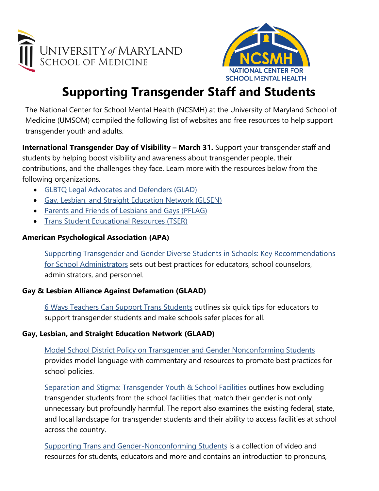



# **Supporting Transgender Staff and Students**

The National Center for School Mental Health (NCSMH) at the University of Maryland School of Medicine (UMSOM) compiled the following list of websites and free resources to help support transgender youth and adults.

**International Transgender Day of Visibility – March 31.** Support your transgender staff and students by helping boost visibility and awareness about transgender people, their contributions, and the challenges they face. Learn more with the resources below from the following organizations.

- [GLBTQ Legal Advocates and Defenders \(GLAD\)](https://www.glad.org/transgender-day-of-visibility/)
- [Gay, Lesbian, and Straight Education Network \(GLSEN\)](https://www.glsen.org/activity/transgender-day-visibility)
- [Parents and Friends of Lesbians and Gays \(PFLAG\)](https://pflag.org/blog/transgender-day-visibility)
- [Trans Student Educational Resources \(TSER\)](https://transstudent.org/tdov/)

# **American Psychological Association (APA)**

[Supporting Transgender and Gender Diverse](https://www.apa.org/pi/lgbt/programs/safe-supportive/lgbt/school-administrators.pdf) Students in Schools: Key Recommendations [for School Administrators](https://www.apa.org/pi/lgbt/programs/safe-supportive/lgbt/school-administrators.pdf) sets out best practices for educators, school counselors, administrators, and personnel.

## **Gay & Lesbian Alliance Against Defamation (GLAAD)**

[6 Ways Teachers Can Support Trans Students](https://www.glaad.org/amp/revamp-supporting-your-trans-students) outlines six quick tips for educators to support transgender students and make schools safer places for all.

## **Gay, Lesbian, and Straight Education Network (GLAAD)**

[Model School District Policy on Transgender and Gender Nonconforming Students](https://www.glsen.org/sites/default/files/Model-School-District-Policy-on-Transgender-and-Gender-Nonconforming-Students-GLSEN.pdf) provides model language with commentary and resources to promote best practices for school policies.

[Separation and Stigma: Transgender Youth & School Facilities](https://www.glsen.org/research/separation-and-stigma-transgender-youth-and-school-facilities) outlines how excluding transgender students from the school facilities that match their gender is not only unnecessary but profoundly harmful. The report also examines the existing federal, state, and local landscape for transgender students and their ability to access facilities at school across the country.

[Supporting Trans and Gender-Nonconforming Students](https://www.glsen.org/supporting-trans-and-gnc-students) is a collection of video and resources for students, educators and more and contains an introduction to pronouns,